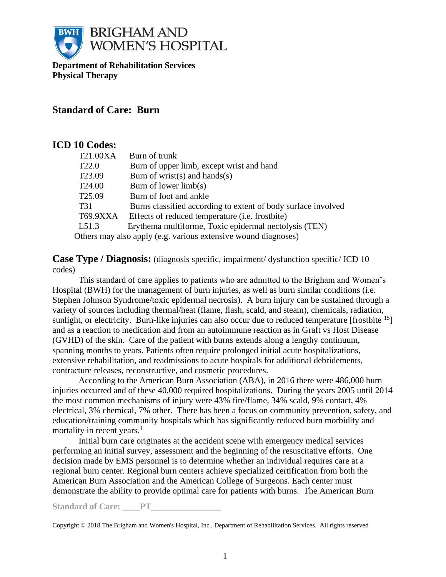

**Department of Rehabilitation Services Physical Therapy**

# **Standard of Care: Burn**

# **ICD 10 Codes:**

| T21.00XA<br>Burn of trunk                                            |  |  |  |
|----------------------------------------------------------------------|--|--|--|
| T <sub>22.0</sub><br>Burn of upper limb, except wrist and hand       |  |  |  |
| Burn of wrist(s) and hands(s)<br>T <sub>23.09</sub>                  |  |  |  |
| T <sub>24.00</sub><br>Burn of lower $limb(s)$                        |  |  |  |
| T <sub>25.09</sub><br>Burn of foot and ankle                         |  |  |  |
| T31<br>Burns classified according to extent of body surface involved |  |  |  |
| T69.9XXA<br>Effects of reduced temperature ( <i>i.e.</i> frostbite)  |  |  |  |
| Erythema multiforme, Toxic epidermal nectolysis (TEN)<br>L51.3       |  |  |  |
| Others may also apply (e.g. various extensive wound diagnoses)       |  |  |  |

**Case Type / Diagnosis:** (diagnosis specific, impairment/ dysfunction specific/ ICD 10 codes)

This standard of care applies to patients who are admitted to the Brigham and Women's Hospital (BWH) for the management of burn injuries, as well as burn similar conditions (i.e. Stephen Johnson Syndrome/toxic epidermal necrosis). A burn injury can be sustained through a variety of sources including thermal/heat (flame, flash, scald, and steam), chemicals, radiation, sunlight, or electricity. Burn-like injuries can also occur due to reduced temperature [frostbite  $<sup>15</sup>$ ]</sup> and as a reaction to medication and from an autoimmune reaction as in Graft vs Host Disease (GVHD) of the skin. Care of the patient with burns extends along a lengthy continuum, spanning months to years. Patients often require prolonged initial acute hospitalizations, extensive rehabilitation, and readmissions to acute hospitals for additional debridements, contracture releases, reconstructive, and cosmetic procedures.

According to the American Burn Association (ABA), in 2016 there were 486,000 burn injuries occurred and of these 40,000 required hospitalizations. During the years 2005 until 2014 the most common mechanisms of injury were 43% fire/flame, 34% scald, 9% contact, 4% electrical, 3% chemical, 7% other. There has been a focus on community prevention, safety, and education/training community hospitals which has significantly reduced burn morbidity and mortality in recent years. $<sup>1</sup>$ </sup>

Initial burn care originates at the accident scene with emergency medical services performing an initial survey, assessment and the beginning of the resuscitative efforts. One decision made by EMS personnel is to determine whether an individual requires care at a regional burn center. Regional burn centers achieve specialized certification from both the American Burn Association and the American College of Surgeons. Each center must demonstrate the ability to provide optimal care for patients with burns. The American Burn

Standard of Care: PT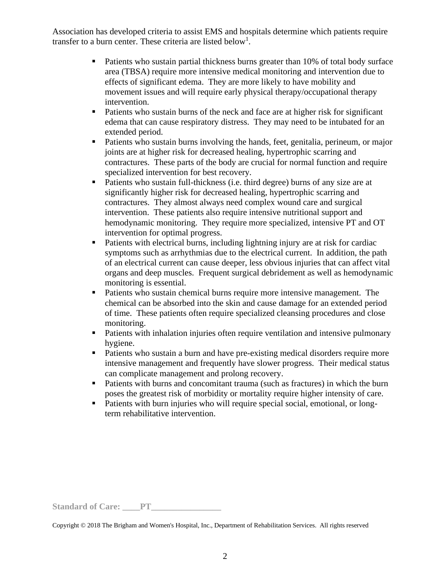Association has developed criteria to assist EMS and hospitals determine which patients require transfer to a burn center. These criteria are listed below<sup>1</sup>.

- Patients who sustain partial thickness burns greater than 10% of total body surface area (TBSA) require more intensive medical monitoring and intervention due to effects of significant edema. They are more likely to have mobility and movement issues and will require early physical therapy/occupational therapy intervention.
- Patients who sustain burns of the neck and face are at higher risk for significant edema that can cause respiratory distress. They may need to be intubated for an extended period.
- Patients who sustain burns involving the hands, feet, genitalia, perineum, or major joints are at higher risk for decreased healing, hypertrophic scarring and contractures. These parts of the body are crucial for normal function and require specialized intervention for best recovery.
- Patients who sustain full-thickness (i.e. third degree) burns of any size are at significantly higher risk for decreased healing, hypertrophic scarring and contractures. They almost always need complex wound care and surgical intervention. These patients also require intensive nutritional support and hemodynamic monitoring. They require more specialized, intensive PT and OT intervention for optimal progress.
- Patients with electrical burns, including lightning injury are at risk for cardiac symptoms such as arrhythmias due to the electrical current. In addition, the path of an electrical current can cause deeper, less obvious injuries that can affect vital organs and deep muscles. Frequent surgical debridement as well as hemodynamic monitoring is essential.
- Patients who sustain chemical burns require more intensive management. The chemical can be absorbed into the skin and cause damage for an extended period of time. These patients often require specialized cleansing procedures and close monitoring.
- Patients with inhalation injuries often require ventilation and intensive pulmonary hygiene.
- Patients who sustain a burn and have pre-existing medical disorders require more intensive management and frequently have slower progress. Their medical status can complicate management and prolong recovery.
- Patients with burns and concomitant trauma (such as fractures) in which the burn poses the greatest risk of morbidity or mortality require higher intensity of care.
- Patients with burn injuries who will require special social, emotional, or longterm rehabilitative intervention.

Standard of Care: PT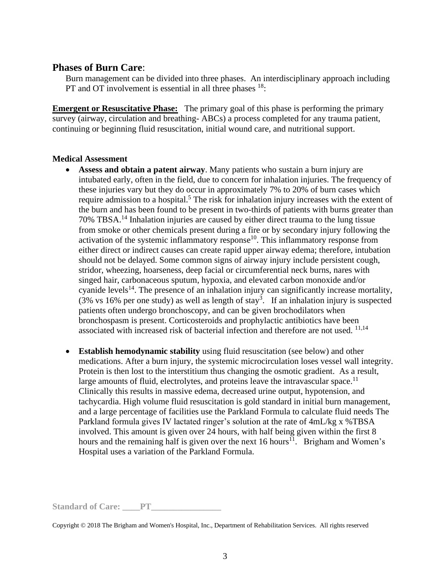# **Phases of Burn Care**:

Burn management can be divided into three phases. An interdisciplinary approach including PT and OT involvement is essential in all three phases  $18$ :

**Emergent or Resuscitative Phase:** The primary goal of this phase is performing the primary survey (airway, circulation and breathing- ABCs) a process completed for any trauma patient, continuing or beginning fluid resuscitation, initial wound care, and nutritional support.

#### **Medical Assessment**

- **Assess and obtain a patent airway**. Many patients who sustain a burn injury are intubated early, often in the field, due to concern for inhalation injuries. The frequency of these injuries vary but they do occur in approximately 7% to 20% of burn cases which require admission to a hospital.<sup>5</sup> The risk for inhalation injury increases with the extent of the burn and has been found to be present in two-thirds of patients with burns greater than 70% TBSA.<sup>14</sup> Inhalation injuries are caused by either direct trauma to the lung tissue from smoke or other chemicals present during a fire or by secondary injury following the activation of the systemic inflammatory response<sup>10</sup>. This inflammatory response from either direct or indirect causes can create rapid upper airway edema; therefore, intubation should not be delayed. Some common signs of airway injury include persistent cough, stridor, wheezing, hoarseness, deep facial or circumferential neck burns, nares with singed hair, carbonaceous sputum, hypoxia, and elevated carbon monoxide and/or cyanide levels<sup>14</sup>. The presence of an inhalation injury can significantly increase mortality, (3% vs 16% per one study) as well as length of stay<sup>3</sup>. If an inhalation injury is suspected patients often undergo bronchoscopy, and can be given brochodilators when bronchospasm is present. Corticosteroids and prophylactic antibiotics have been associated with increased risk of bacterial infection and therefore are not used. <sup>11,14</sup>
- **Establish hemodynamic stability** using fluid resuscitation (see below) and other medications. After a burn injury, the systemic microcirculation loses vessel wall integrity. Protein is then lost to the interstitium thus changing the osmotic gradient. As a result, large amounts of fluid, electrolytes, and proteins leave the intravascular space.<sup>11</sup> Clinically this results in massive edema, decreased urine output, hypotension, and tachycardia. High volume fluid resuscitation is gold standard in initial burn management, and a large percentage of facilities use the Parkland Formula to calculate fluid needs The Parkland formula gives IV lactated ringer's solution at the rate of 4mL/kg x %TBSA involved. This amount is given over 24 hours, with half being given within the first 8 hours and the remaining half is given over the next  $16$  hours<sup>11</sup>. Brigham and Women's Hospital uses a variation of the Parkland Formula.

Standard of Care: PT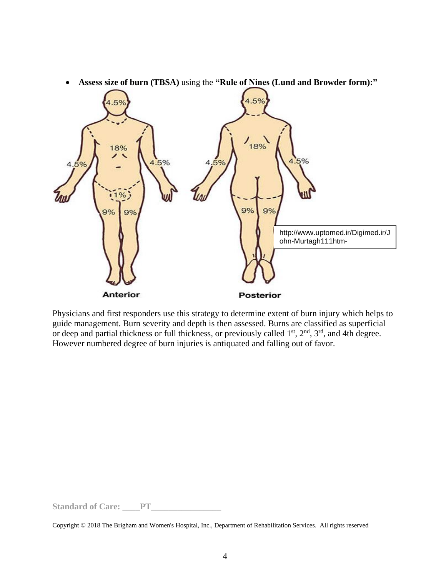

• **Assess size of burn (TBSA)** using the **"Rule of Nines (Lund and Browder form):"**

Physicians and first responders use this strategy to determine extent of burn injury which helps to guide management. Burn severity and depth is then assessed. Burns are classified as superficial or deep and partial thickness or full thickness, or previously called  $1<sup>st</sup>$ ,  $2<sup>nd</sup>$ ,  $3<sup>rd</sup>$ , and 4th degree. However numbered degree of burn injuries is antiquated and falling out of favor.

**Standard of Care: \_\_\_\_PT\_\_\_\_\_\_\_\_\_\_\_\_\_\_\_\_**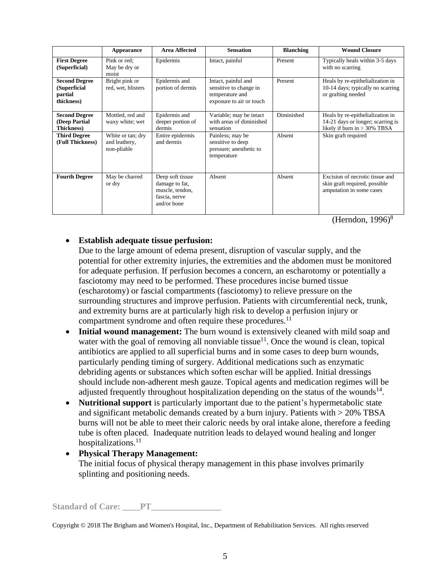|                                                               | Appearance                                        | <b>Area Affected</b>                                                                  | <b>Sensation</b>                                                                             | <b>Blanching</b> | <b>Wound Closure</b>                                                                                     |
|---------------------------------------------------------------|---------------------------------------------------|---------------------------------------------------------------------------------------|----------------------------------------------------------------------------------------------|------------------|----------------------------------------------------------------------------------------------------------|
| <b>First Degree</b><br>(Superficial)                          | Pink or red:<br>May be dry or<br>moist            | Epidermis                                                                             | Intact, painful                                                                              | Present          | Typically heals within 3-5 days<br>with no scarring                                                      |
| <b>Second Degree</b><br>(Superficial<br>partial<br>thickness) | Bright pink or<br>red, wet, blisters              | Epidermis and<br>portion of dermis                                                    | Intact, painful and<br>sensitive to change in<br>temperature and<br>exposure to air or touch | Present          | Heals by re-epithelialization in<br>10-14 days; typically no scarring<br>or grafting needed              |
| <b>Second Degree</b><br>(Deep Partial<br><b>Thickness</b> )   | Mottled, red and<br>waxy white; wet               | Epidermis and<br>deeper portion of<br>dermis                                          | Variable; may be intact<br>with areas of diminished<br>sensation                             | Diminished       | Heals by re-epithelialization in<br>14-21 days or longer; scarring is<br>likely if burn in $> 30\%$ TBSA |
| <b>Third Degree</b><br>(Full Thickness)                       | White or tan; dry<br>and leathery,<br>non-pliable | Entire epidermis<br>and dermis                                                        | Painless; may be<br>sensitive to deep<br>pressure; anesthetic to<br>temperature              | Absent           | Skin graft required                                                                                      |
| <b>Fourth Degree</b>                                          | May be charred<br>or dry                          | Deep soft tissue<br>damage to fat,<br>muscle, tendon,<br>fascia, nerve<br>and/or bone | Absent                                                                                       | Absent           | Excision of necrotic tissue and<br>skin graft required, possible<br>amputation in some cases             |

(Herndon,  $1996$ )<sup>8</sup>

## • **Establish adequate tissue perfusion:**

Due to the large amount of edema present, disruption of vascular supply, and the potential for other extremity injuries, the extremities and the abdomen must be monitored for adequate perfusion. If perfusion becomes a concern, an escharotomy or potentially a fasciotomy may need to be performed. These procedures incise burned tissue (escharotomy) or fascial compartments (fasciotomy) to relieve pressure on the surrounding structures and improve perfusion. Patients with circumferential neck, trunk, and extremity burns are at particularly high risk to develop a perfusion injury or compartment syndrome and often require these procedures.<sup>11</sup>

- **Initial wound management:** The burn wound is extensively cleaned with mild soap and water with the goal of removing all nonviable tissue<sup>11</sup>. Once the wound is clean, topical antibiotics are applied to all superficial burns and in some cases to deep burn wounds, particularly pending timing of surgery. Additional medications such as enzymatic debriding agents or substances which soften eschar will be applied. Initial dressings should include non-adherent mesh gauze. Topical agents and medication regimes will be adjusted frequently throughout hospitalization depending on the status of the wounds $^{14}$ .
- **Nutritional support** is particularly important due to the patient's hypermetabolic state and significant metabolic demands created by a burn injury. Patients with > 20% TBSA burns will not be able to meet their caloric needs by oral intake alone, therefore a feeding tube is often placed. Inadequate nutrition leads to delayed wound healing and longer hospitalizations.<sup>11</sup>

#### • **Physical Therapy Management:**  The initial focus of physical therapy management in this phase involves primarily splinting and positioning needs.

**Standard of Care: \_\_\_\_PT\_\_\_\_\_\_\_\_\_\_\_\_\_\_\_\_**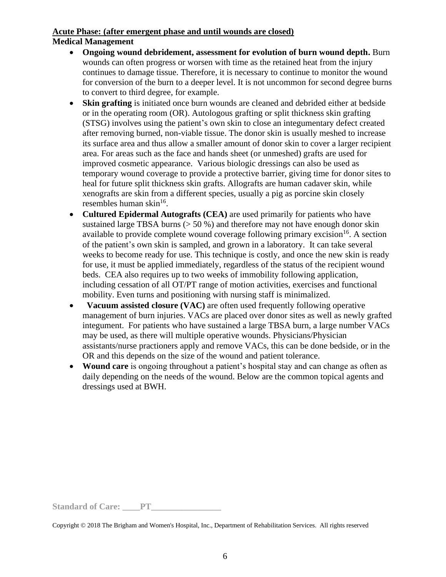#### **Acute Phase: (after emergent phase and until wounds are closed) Medical Management**

- **Ongoing wound debridement, assessment for evolution of burn wound depth.** Burn wounds can often progress or worsen with time as the retained heat from the injury continues to damage tissue. Therefore, it is necessary to continue to monitor the wound for conversion of the burn to a deeper level. It is not uncommon for second degree burns to convert to third degree, for example.
- **Skin grafting** is initiated once burn wounds are cleaned and debrided either at bedside or in the operating room (OR). Autologous grafting or split thickness skin grafting (STSG) involves using the patient's own skin to close an integumentary defect created after removing burned, non-viable tissue. The donor skin is usually meshed to increase its surface area and thus allow a smaller amount of donor skin to cover a larger recipient area. For areas such as the face and hands sheet (or unmeshed) grafts are used for improved cosmetic appearance. Various biologic dressings can also be used as temporary wound coverage to provide a protective barrier, giving time for donor sites to heal for future split thickness skin grafts. Allografts are human cadaver skin, while xenografts are skin from a different species, usually a pig as porcine skin closely resembles human skin<sup>16</sup>.
- **Cultured Epidermal Autografts (CEA)** are used primarily for patients who have sustained large TBSA burns  $(50\%)$  and therefore may not have enough donor skin available to provide complete wound coverage following primary excision  $16$ . A section of the patient's own skin is sampled, and grown in a laboratory. It can take several weeks to become ready for use. This technique is costly, and once the new skin is ready for use, it must be applied immediately, regardless of the status of the recipient wound beds. CEA also requires up to two weeks of immobility following application, including cessation of all OT/PT range of motion activities, exercises and functional mobility. Even turns and positioning with nursing staff is minimalized.
- **Vacuum assisted closure (VAC)** are often used frequently following operative management of burn injuries. VACs are placed over donor sites as well as newly grafted integument. For patients who have sustained a large TBSA burn, a large number VACs may be used, as there will multiple operative wounds. Physicians/Physician assistants/nurse practioners apply and remove VACs, this can be done bedside, or in the OR and this depends on the size of the wound and patient tolerance.
- **Wound care** is ongoing throughout a patient's hospital stay and can change as often as daily depending on the needs of the wound. Below are the common topical agents and dressings used at BWH.

Standard of Care: PT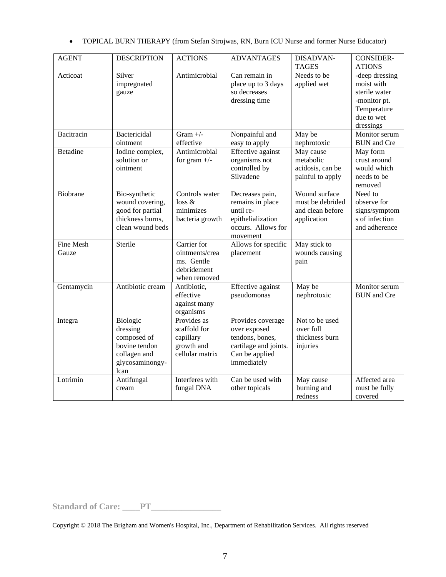|  | TOPICAL BURN THERAPY (from Stefan Strojwas, RN, Burn ICU Nurse and former Nurse Educator) |  |  |  |  |  |  |
|--|-------------------------------------------------------------------------------------------|--|--|--|--|--|--|
|--|-------------------------------------------------------------------------------------------|--|--|--|--|--|--|

| <b>AGENT</b>     | <b>DESCRIPTION</b> | <b>ACTIONS</b>  | <b>ADVANTAGES</b>     | DISADVAN-        | <b>CONSIDER-</b>   |
|------------------|--------------------|-----------------|-----------------------|------------------|--------------------|
|                  |                    |                 |                       | <b>TAGES</b>     | <b>ATIONS</b>      |
| Acticoat         | Silver             | Antimicrobial   | Can remain in         | Needs to be      | -deep dressing     |
|                  | impregnated        |                 | place up to 3 days    | applied wet      | moist with         |
|                  | gauze              |                 | so decreases          |                  | sterile water      |
|                  |                    |                 | dressing time         |                  | -monitor pt.       |
|                  |                    |                 |                       |                  | Temperature        |
|                  |                    |                 |                       |                  | due to wet         |
|                  |                    |                 |                       |                  | dressings          |
| Bacitracin       | Bactericidal       | Gram $+/-$      | Nonpainful and        | May be           | Monitor serum      |
|                  | ointment           | effective       | easy to apply         | nephrotoxic      | <b>BUN</b> and Cre |
| <b>Betadine</b>  | Iodine complex,    | Antimicrobial   | Effective against     | May cause        | May form           |
|                  | solution or        | for gram $+/-$  | organisms not         | metabolic        | crust around       |
|                  | ointment           |                 | controlled by         | acidosis, can be | would which        |
|                  |                    |                 | Silvadene             | painful to apply | needs to be        |
|                  |                    |                 |                       |                  | removed            |
| Biobrane         | Bio-synthetic      | Controls water  | Decreases pain,       | Wound surface    | Need to            |
|                  | wound covering,    | loss &          | remains in place      | must be debrided | observe for        |
|                  | good for partial   | minimizes       | until re-             | and clean before | signs/symptom      |
|                  | thickness burns,   | bacteria growth | epithelialization     | application      | s of infection     |
|                  | clean wound beds   |                 | occurs. Allows for    |                  | and adherence      |
|                  |                    |                 | movement              |                  |                    |
| <b>Fine Mesh</b> | Sterile            | Carrier for     | Allows for specific   | May stick to     |                    |
| Gauze            |                    | ointments/crea  | placement             | wounds causing   |                    |
|                  |                    | ms. Gentle      |                       | pain             |                    |
|                  |                    | debridement     |                       |                  |                    |
|                  |                    | when removed    |                       |                  |                    |
| Gentamycin       | Antibiotic cream   | Antibiotic,     | Effective against     | May be           | Monitor serum      |
|                  |                    | effective       | pseudomonas           | nephrotoxic      | <b>BUN</b> and Cre |
|                  |                    | against many    |                       |                  |                    |
|                  |                    | organisms       |                       |                  |                    |
| Integra          | Biologic           | Provides as     | Provides coverage     | Not to be used   |                    |
|                  | dressing           | scaffold for    | over exposed          | over full        |                    |
|                  | composed of        | capillary       | tendons, bones,       | thickness burn   |                    |
|                  | bovine tendon      | growth and      | cartilage and joints. | injuries         |                    |
|                  | collagen and       | cellular matrix | Can be applied        |                  |                    |
|                  | glycosaminongy-    |                 | immediately           |                  |                    |
|                  | lcan               |                 |                       |                  |                    |
| Lotrimin         | Antifungal         | Interferes with | Can be used with      | May cause        | Affected area      |
|                  | cream              | fungal DNA      | other topicals        | burning and      | must be fully      |
|                  |                    |                 |                       | redness          | covered            |

**Standard of Care: \_\_\_\_PT\_\_\_\_\_\_\_\_\_\_\_\_\_\_\_**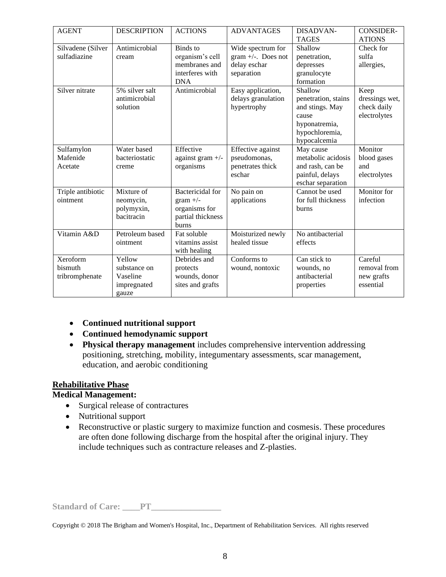| <b>AGENT</b>                          | <b>DESCRIPTION</b>                                         | <b>ACTIONS</b>                                                                       | <b>ADVANTAGES</b>                                                        | DISADVAN-<br><b>TAGES</b>                                                                                     | <b>CONSIDER-</b><br><b>ATIONS</b>                     |
|---------------------------------------|------------------------------------------------------------|--------------------------------------------------------------------------------------|--------------------------------------------------------------------------|---------------------------------------------------------------------------------------------------------------|-------------------------------------------------------|
| Silvadene (Silver<br>sulfadiazine     | Antimicrobial<br>cream                                     | Binds to<br>organism's cell<br>membranes and<br>interferes with<br><b>DNA</b>        | Wide spectrum for<br>gram $+/-$ . Does not<br>delay eschar<br>separation | Shallow<br>penetration,<br>depresses<br>granulocyte<br>formation                                              | Check for<br>sulfa<br>allergies,                      |
| Silver nitrate                        | 5% silver salt<br>antimicrobial<br>solution                | Antimicrobial                                                                        | Easy application,<br>delays granulation<br>hypertrophy                   | Shallow<br>penetration, stains<br>and stings. May<br>cause<br>hyponatremia,<br>hypochloremia,<br>hypocalcemia | Keep<br>dressings wet,<br>check daily<br>electrolytes |
| Sulfamylon<br>Mafenide<br>Acetate     | Water based<br>bacteriostatic<br>creme                     | Effective<br>against gram $+/-$<br>organisms                                         | Effective against<br>pseudomonas,<br>penetrates thick<br>eschar          | May cause<br>metabolic acidosis<br>and rash, can be<br>painful, delays<br>eschar separation                   | Monitor<br>blood gases<br>and<br>electrolytes         |
| Triple antibiotic<br>ointment         | Mixture of<br>neomycin,<br>polymyxin,<br>bacitracin        | <b>Bactericidal</b> for<br>gram $+/-$<br>organisms for<br>partial thickness<br>burns | No pain on<br>applications                                               | Cannot be used<br>for full thickness<br><b>burns</b>                                                          | Monitor for<br>infection                              |
| Vitamin A&D                           | Petroleum based<br>ointment                                | Fat soluble<br>vitamins assist<br>with healing                                       | Moisturized newly<br>healed tissue                                       | No antibacterial<br>effects                                                                                   |                                                       |
| Xeroform<br>bismuth<br>tribromphenate | Yellow<br>substance on<br>Vaseline<br>impregnated<br>gauze | Debrides and<br>protects<br>wounds, donor<br>sites and grafts                        | Conforms to<br>wound, nontoxic                                           | Can stick to<br>wounds, no<br>antibacterial<br>properties                                                     | Careful<br>removal from<br>new grafts<br>essential    |

- **Continued nutritional support**
- **Continued hemodynamic support**
- **Physical therapy management** includes comprehensive intervention addressing positioning, stretching, mobility, integumentary assessments, scar management, education, and aerobic conditioning

## **Rehabilitative Phase**

#### **Medical Management:**

- Surgical release of contractures
- Nutritional support
- Reconstructive or plastic surgery to maximize function and cosmesis. These procedures are often done following discharge from the hospital after the original injury. They include techniques such as contracture releases and Z-plasties.

**Standard of Care: \_\_\_\_PT\_\_\_\_\_\_\_\_\_\_\_\_\_\_\_\_**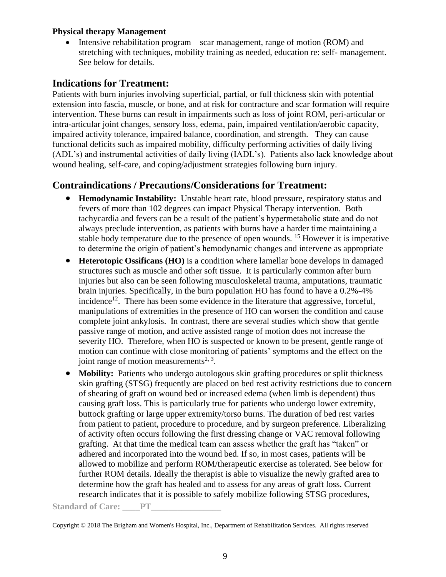### **Physical therapy Management**

Intensive rehabilitation program—scar management, range of motion (ROM) and stretching with techniques, mobility training as needed, education re: self- management. See below for details.

# **Indications for Treatment:**

Patients with burn injuries involving superficial, partial, or full thickness skin with potential extension into fascia, muscle, or bone, and at risk for contracture and scar formation will require intervention. These burns can result in impairments such as loss of joint ROM, peri-articular or intra-articular joint changes, sensory loss, edema, pain, impaired ventilation/aerobic capacity, impaired activity tolerance, impaired balance, coordination, and strength. They can cause functional deficits such as impaired mobility, difficulty performing activities of daily living (ADL's) and instrumental activities of daily living (IADL's). Patients also lack knowledge about wound healing, self-care, and coping/adjustment strategies following burn injury.

# **Contraindications / Precautions/Considerations for Treatment:**

- **Hemodynamic Instability:** Unstable heart rate, blood pressure, respiratory status and fevers of more than 102 degrees can impact Physical Therapy intervention. Both tachycardia and fevers can be a result of the patient's hypermetabolic state and do not always preclude intervention, as patients with burns have a harder time maintaining a stable body temperature due to the presence of open wounds. <sup>15</sup> However it is imperative to determine the origin of patient's hemodynamic changes and intervene as appropriate
- **Heterotopic Ossificans (HO)** is a condition where lamellar bone develops in damaged structures such as muscle and other soft tissue. It is particularly common after burn injuries but also can be seen following musculoskeletal trauma, amputations, traumatic brain injuries. Specifically, in the burn population HO has found to have a 0.2%-4% incidence<sup>12</sup>. There has been some evidence in the literature that aggressive, forceful, manipulations of extremities in the presence of HO can worsen the condition and cause complete joint ankylosis. In contrast, there are several studies which show that gentle passive range of motion, and active assisted range of motion does not increase the severity HO. Therefore, when HO is suspected or known to be present, gentle range of motion can continue with close monitoring of patients' symptoms and the effect on the joint range of motion measurements<sup>2, 3</sup>.
- **Mobility:** Patients who undergo autologous skin grafting procedures or split thickness skin grafting (STSG) frequently are placed on bed rest activity restrictions due to concern of shearing of graft on wound bed or increased edema (when limb is dependent) thus causing graft loss. This is particularly true for patients who undergo lower extremity, buttock grafting or large upper extremity/torso burns. The duration of bed rest varies from patient to patient, procedure to procedure, and by surgeon preference. Liberalizing of activity often occurs following the first dressing change or VAC removal following grafting. At that time the medical team can assess whether the graft has "taken" or adhered and incorporated into the wound bed. If so, in most cases, patients will be allowed to mobilize and perform ROM/therapeutic exercise as tolerated. See below for further ROM details. Ideally the therapist is able to visualize the newly grafted area to determine how the graft has healed and to assess for any areas of graft loss. Current research indicates that it is possible to safely mobilize following STSG procedures,

Standard of Care: **\_\_\_\_PT\_\_**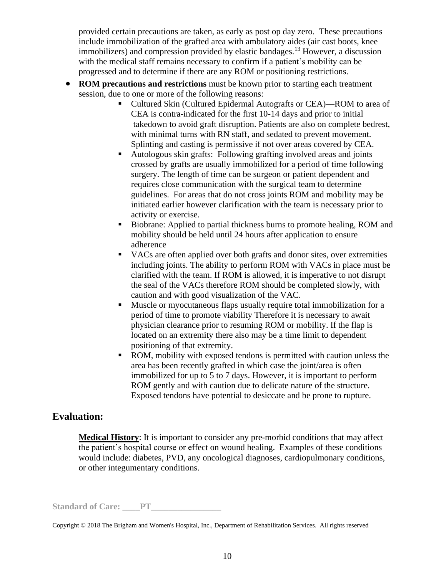provided certain precautions are taken, as early as post op day zero. These precautions include immobilization of the grafted area with ambulatory aides (air cast boots, knee immobilizers) and compression provided by elastic bandages.<sup>13</sup> However, a discussion with the medical staff remains necessary to confirm if a patient's mobility can be progressed and to determine if there are any ROM or positioning restrictions.

- **ROM precautions and restrictions** must be known prior to starting each treatment session, due to one or more of the following reasons:
	- Cultured Skin (Cultured Epidermal Autografts or CEA)—ROM to area of CEA is contra-indicated for the first 10-14 days and prior to initial takedown to avoid graft disruption. Patients are also on complete bedrest, with minimal turns with RN staff, and sedated to prevent movement. Splinting and casting is permissive if not over areas covered by CEA.
	- Autologous skin grafts: Following grafting involved areas and joints crossed by grafts are usually immobilized for a period of time following surgery. The length of time can be surgeon or patient dependent and requires close communication with the surgical team to determine guidelines. For areas that do not cross joints ROM and mobility may be initiated earlier however clarification with the team is necessary prior to activity or exercise.
	- Biobrane: Applied to partial thickness burns to promote healing, ROM and mobility should be held until 24 hours after application to ensure adherence
	- VACs are often applied over both grafts and donor sites, over extremities including joints. The ability to perform ROM with VACs in place must be clarified with the team. If ROM is allowed, it is imperative to not disrupt the seal of the VACs therefore ROM should be completed slowly, with caution and with good visualization of the VAC.
	- Muscle or myocutaneous flaps usually require total immobilization for a period of time to promote viability Therefore it is necessary to await physician clearance prior to resuming ROM or mobility. If the flap is located on an extremity there also may be a time limit to dependent positioning of that extremity.
	- ROM, mobility with exposed tendons is permitted with caution unless the area has been recently grafted in which case the joint/area is often immobilized for up to 5 to 7 days. However, it is important to perform ROM gently and with caution due to delicate nature of the structure. Exposed tendons have potential to desiccate and be prone to rupture.

# **Evaluation:**

**Medical History**: It is important to consider any pre-morbid conditions that may affect the patient's hospital course or effect on wound healing. Examples of these conditions would include: diabetes, PVD, any oncological diagnoses, cardiopulmonary conditions, or other integumentary conditions.

Standard of Care: PT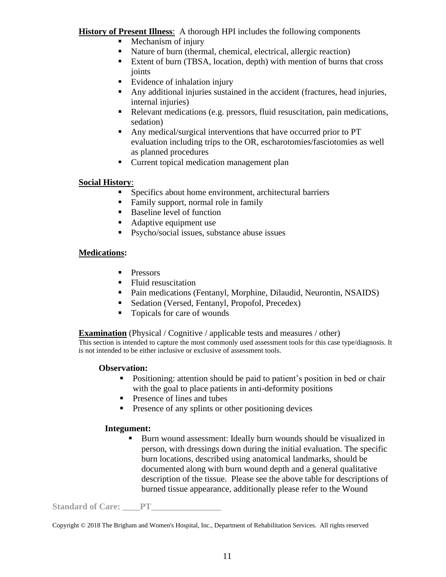**History of Present Illness**: A thorough HPI includes the following components

- Mechanism of injury
- Nature of burn (thermal, chemical, electrical, allergic reaction)
- Extent of burn (TBSA, location, depth) with mention of burns that cross joints
- Evidence of inhalation injury
- Any additional injuries sustained in the accident (fractures, head injuries, internal injuries)
- Relevant medications (e.g. pressors, fluid resuscitation, pain medications, sedation)
- Any medical/surgical interventions that have occurred prior to PT evaluation including trips to the OR, escharotomies/fasciotomies as well as planned procedures
- Current topical medication management plan

## **Social History**:

- Specifics about home environment, architectural barriers
- Family support, normal role in family
- Baseline level of function
- Adaptive equipment use
- Psycho/social issues, substance abuse issues

# **Medications:**

- **Pressors**
- Fluid resuscitation
- Pain medications (Fentanyl, Morphine, Dilaudid, Neurontin, NSAIDS)
- Sedation (Versed, Fentanyl, Propofol, Precedex)
- Topicals for care of wounds

**Examination** (Physical / Cognitive / applicable tests and measures / other)

This section is intended to capture the most commonly used assessment tools for this case type/diagnosis. It is not intended to be either inclusive or exclusive of assessment tools.

## **Observation:**

- Positioning: attention should be paid to patient's position in bed or chair with the goal to place patients in anti-deformity positions
- Presence of lines and tubes
- **•** Presence of any splints or other positioning devices

# **Integument:**

Burn wound assessment: Ideally burn wounds should be visualized in person, with dressings down during the initial evaluation. The specific burn locations, described using anatomical landmarks, should be documented along with burn wound depth and a general qualitative description of the tissue. Please see the above table for descriptions of burned tissue appearance, additionally please refer to the Wound

Standard of Care: PT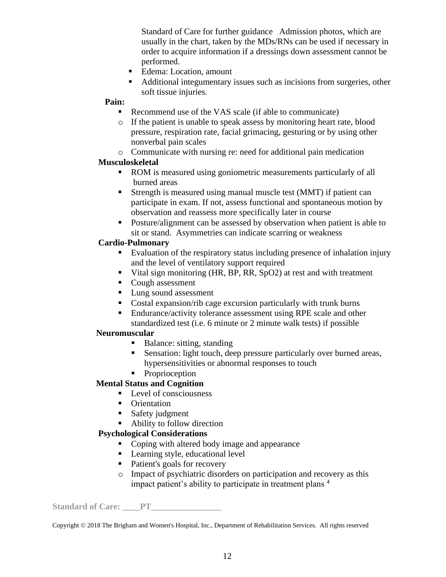Standard of Care for further guidance Admission photos, which are usually in the chart, taken by the MDs/RNs can be used if necessary in order to acquire information if a dressings down assessment cannot be performed.

- Edema: Location, amount
- Additional integumentary issues such as incisions from surgeries, other soft tissue injuries.

#### **Pain:**

- Recommend use of the VAS scale (if able to communicate)
- o If the patient is unable to speak assess by monitoring heart rate, blood pressure, respiration rate, facial grimacing, gesturing or by using other nonverbal pain scales
- o Communicate with nursing re: need for additional pain medication

#### **Musculoskeletal**

- ROM is measured using goniometric measurements particularly of all burned areas
- Strength is measured using manual muscle test (MMT) if patient can participate in exam. If not, assess functional and spontaneous motion by observation and reassess more specifically later in course
- Posture/alignment can be assessed by observation when patient is able to sit or stand. Asymmetries can indicate scarring or weakness

### **Cardio-Pulmonary**

- Evaluation of the respiratory status including presence of inhalation injury and the level of ventilatory support required
- Vital sign monitoring (HR, BP, RR, SpO2) at rest and with treatment
- Cough assessment
- Lung sound assessment
- Costal expansion/rib cage excursion particularly with trunk burns
- Endurance/activity tolerance assessment using RPE scale and other standardized test (i.e. 6 minute or 2 minute walk tests) if possible

#### **Neuromuscular**

- Balance: sitting, standing
- Sensation: light touch, deep pressure particularly over burned areas, hypersensitivities or abnormal responses to touch
- **•** Proprioception

## **Mental Status and Cognition**

#### ■ Level of consciousness

- Orientation
- Safety judgment
- Ability to follow direction

## **Psychological Considerations**

- Coping with altered body image and appearance
- Learning style, educational level
- Patient's goals for recovery
- o Impact of psychiatric disorders on participation and recovery as this impact patient's ability to participate in treatment plans<sup>4</sup>

Standard of Care: PT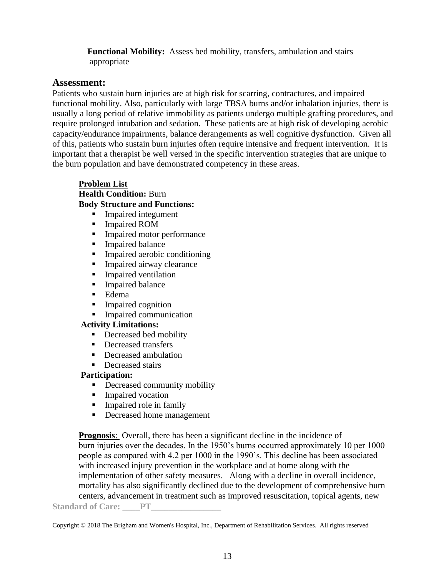**Functional Mobility:** Assess bed mobility, transfers, ambulation and stairs appropriate

# **Assessment:**

Patients who sustain burn injuries are at high risk for scarring, contractures, and impaired functional mobility. Also, particularly with large TBSA burns and/or inhalation injuries, there is usually a long period of relative immobility as patients undergo multiple grafting procedures, and require prolonged intubation and sedation. These patients are at high risk of developing aerobic capacity/endurance impairments, balance derangements as well cognitive dysfunction. Given all of this, patients who sustain burn injuries often require intensive and frequent intervention. It is important that a therapist be well versed in the specific intervention strategies that are unique to the burn population and have demonstrated competency in these areas.

### **Problem List**

### **Health Condition:** Burn

# **Body Structure and Functions:**

- **Impaired integument**
- Impaired ROM
- **•** Impaired motor performance
- Impaired balance
- Impaired aerobic conditioning
- **Impaired airway clearance**
- **I** Impaired ventilation
- **Impaired balance**
- Edema
- Impaired cognition
- **Impaired communication**

## **Activity Limitations:**

- Decreased bed mobility
- Decreased transfers
- Decreased ambulation
- **•** Decreased stairs

## **Participation:**

- **•** Decreased community mobility
- **EXECUTE:** Impaired vocation
- **I**mpaired role in family
- Decreased home management

Standard of Care: PT **Prognosis:** Overall, there has been a significant decline in the incidence of burn injuries over the decades. In the 1950's burns occurred approximately 10 per 1000 people as compared with 4.2 per 1000 in the 1990's. This decline has been associated with increased injury prevention in the workplace and at home along with the implementation of other safety measures. Along with a decline in overall incidence, mortality has also significantly declined due to the development of comprehensive burn centers, advancement in treatment such as improved resuscitation, topical agents, new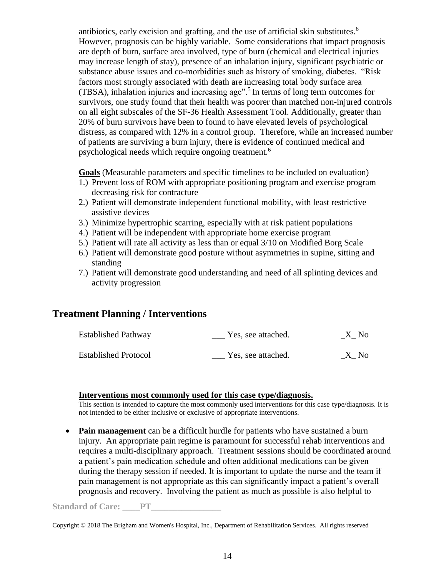antibiotics, early excision and grafting, and the use of artificial skin substitutes.<sup>6</sup> However, prognosis can be highly variable. Some considerations that impact prognosis are depth of burn, surface area involved, type of burn (chemical and electrical injuries may increase length of stay), presence of an inhalation injury, significant psychiatric or substance abuse issues and co-morbidities such as history of smoking, diabetes. "Risk factors most strongly associated with death are increasing total body surface area (TBSA), inhalation injuries and increasing age".<sup>5</sup> In terms of long term outcomes for survivors, one study found that their health was poorer than matched non-injured controls on all eight subscales of the SF-36 Health Assessment Tool. Additionally, greater than 20% of burn survivors have been to found to have elevated levels of psychological distress, as compared with 12% in a control group. Therefore, while an increased number of patients are surviving a burn injury, there is evidence of continued medical and psychological needs which require ongoing treatment.<sup>6</sup>

**Goals** (Measurable parameters and specific timelines to be included on evaluation)

- 1.) Prevent loss of ROM with appropriate positioning program and exercise program decreasing risk for contracture
- 2.) Patient will demonstrate independent functional mobility, with least restrictive assistive devices
- 3.) Minimize hypertrophic scarring, especially with at risk patient populations
- 4.) Patient will be independent with appropriate home exercise program
- 5.) Patient will rate all activity as less than or equal 3/10 on Modified Borg Scale
- 6.) Patient will demonstrate good posture without asymmetries in supine, sitting and standing
- 7.) Patient will demonstrate good understanding and need of all splinting devices and activity progression

## **Treatment Planning / Interventions**

| <b>Established Pathway</b>  | Yes, see attached. | X No |
|-----------------------------|--------------------|------|
| <b>Established Protocol</b> | Yes, see attached. | X No |

#### **Interventions most commonly used for this case type/diagnosis.**

This section is intended to capture the most commonly used interventions for this case type/diagnosis. It is not intended to be either inclusive or exclusive of appropriate interventions.

• **Pain management** can be a difficult hurdle for patients who have sustained a burn injury. An appropriate pain regime is paramount for successful rehab interventions and requires a multi-disciplinary approach. Treatment sessions should be coordinated around a patient's pain medication schedule and often additional medications can be given during the therapy session if needed. It is important to update the nurse and the team if pain management is not appropriate as this can significantly impact a patient's overall prognosis and recovery. Involving the patient as much as possible is also helpful to

Standard of Care: PT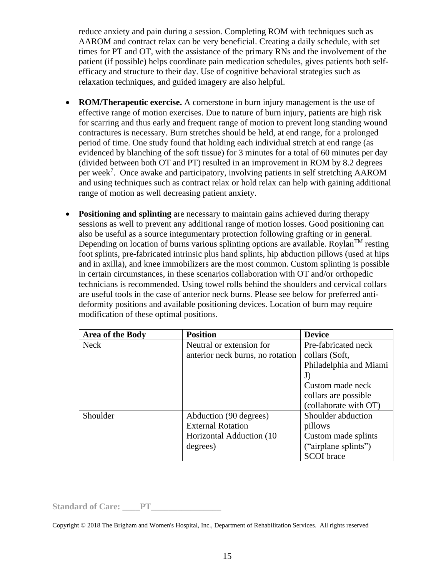reduce anxiety and pain during a session. Completing ROM with techniques such as AAROM and contract relax can be very beneficial. Creating a daily schedule, with set times for PT and OT, with the assistance of the primary RNs and the involvement of the patient (if possible) helps coordinate pain medication schedules, gives patients both selfefficacy and structure to their day. Use of cognitive behavioral strategies such as relaxation techniques, and guided imagery are also helpful.

- **ROM/Therapeutic exercise.** A cornerstone in burn injury management is the use of effective range of motion exercises. Due to nature of burn injury, patients are high risk for scarring and thus early and frequent range of motion to prevent long standing wound contractures is necessary. Burn stretches should be held, at end range, for a prolonged period of time. One study found that holding each individual stretch at end range (as evidenced by blanching of the soft tissue) for 3 minutes for a total of 60 minutes per day (divided between both OT and PT) resulted in an improvement in ROM by 8.2 degrees per week<sup>7</sup>. Once awake and participatory, involving patients in self stretching AAROM and using techniques such as contract relax or hold relax can help with gaining additional range of motion as well decreasing patient anxiety.
- **Positioning and splinting** are necessary to maintain gains achieved during therapy sessions as well to prevent any additional range of motion losses. Good positioning can also be useful as a source integumentary protection following grafting or in general. Depending on location of burns various splinting options are available. Roylan<sup>TM</sup> resting foot splints, pre-fabricated intrinsic plus hand splints, hip abduction pillows (used at hips and in axilla), and knee immobilizers are the most common. Custom splinting is possible in certain circumstances, in these scenarios collaboration with OT and/or orthopedic technicians is recommended. Using towel rolls behind the shoulders and cervical collars are useful tools in the case of anterior neck burns. Please see below for preferred antideformity positions and available positioning devices. Location of burn may require modification of these optimal positions.

| Area of the Body | <b>Position</b>                  | <b>Device</b>          |
|------------------|----------------------------------|------------------------|
| <b>Neck</b>      | Neutral or extension for         | Pre-fabricated neck    |
|                  | anterior neck burns, no rotation | collars (Soft,         |
|                  |                                  | Philadelphia and Miami |
|                  |                                  | J)                     |
|                  |                                  | Custom made neck       |
|                  |                                  | collars are possible   |
|                  |                                  | (collaborate with OT)  |
| Shoulder         | Abduction (90 degrees)           | Shoulder abduction     |
|                  | <b>External Rotation</b>         | pillows                |
|                  | Horizontal Adduction (10)        | Custom made splints    |
|                  | degrees)                         | ("airplane splints")   |
|                  |                                  | <b>SCOI</b> brace      |

Standard of Care: PT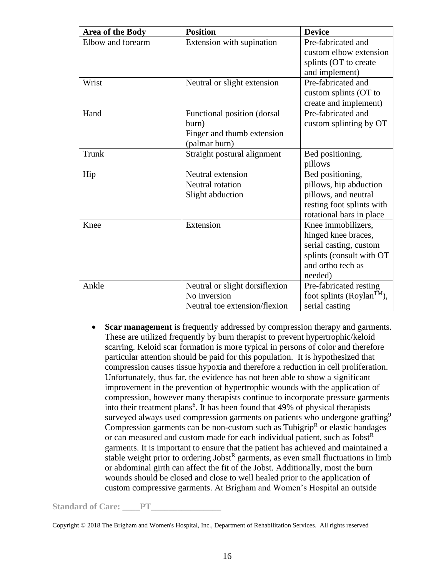| Area of the Body  | <b>Position</b>                | <b>Device</b>                         |
|-------------------|--------------------------------|---------------------------------------|
| Elbow and forearm | Extension with supination      | Pre-fabricated and                    |
|                   |                                | custom elbow extension                |
|                   |                                | splints (OT to create                 |
|                   |                                | and implement)                        |
| Wrist             | Neutral or slight extension    | Pre-fabricated and                    |
|                   |                                | custom splints (OT to                 |
|                   |                                | create and implement)                 |
| Hand              | Functional position (dorsal    | Pre-fabricated and                    |
|                   | burn)                          | custom splinting by OT                |
|                   | Finger and thumb extension     |                                       |
|                   | (palmar burn)                  |                                       |
| Trunk             | Straight postural alignment    | Bed positioning,                      |
|                   |                                | pillows                               |
| Hip               | Neutral extension              | Bed positioning,                      |
|                   | Neutral rotation               | pillows, hip abduction                |
|                   | Slight abduction               | pillows, and neutral                  |
|                   |                                | resting foot splints with             |
|                   |                                | rotational bars in place              |
| Knee              | Extension                      | Knee immobilizers,                    |
|                   |                                | hinged knee braces,                   |
|                   |                                | serial casting, custom                |
|                   |                                | splints (consult with OT              |
|                   |                                | and ortho tech as                     |
|                   |                                | needed)                               |
| Ankle             | Neutral or slight dorsiflexion | Pre-fabricated resting                |
|                   | No inversion                   | foot splints (Roylan <sup>TM</sup> ), |
|                   | Neutral toe extension/flexion  | serial casting                        |

• **Scar management** is frequently addressed by compression therapy and garments. These are utilized frequently by burn therapist to prevent hypertrophic/keloid scarring. Keloid scar formation is more typical in persons of color and therefore particular attention should be paid for this population. It is hypothesized that compression causes tissue hypoxia and therefore a reduction in cell proliferation. Unfortunately, thus far, the evidence has not been able to show a significant improvement in the prevention of hypertrophic wounds with the application of compression, however many therapists continue to incorporate pressure garments into their treatment plans<sup>6</sup>. It has been found that 49% of physical therapists surveyed always used compression garments on patients who undergone grafting<sup>9</sup> Compression garments can be non-custom such as  $Tubigrip<sup>R</sup>$  or elastic bandages or can measured and custom made for each individual patient, such as Jobst<sup>R</sup> garments. It is important to ensure that the patient has achieved and maintained a stable weight prior to ordering  $Jobst^R$  garments, as even small fluctuations in limb or abdominal girth can affect the fit of the Jobst. Additionally, most the burn wounds should be closed and close to well healed prior to the application of custom compressive garments. At Brigham and Women's Hospital an outside

Standard of Care: <u>PT</u>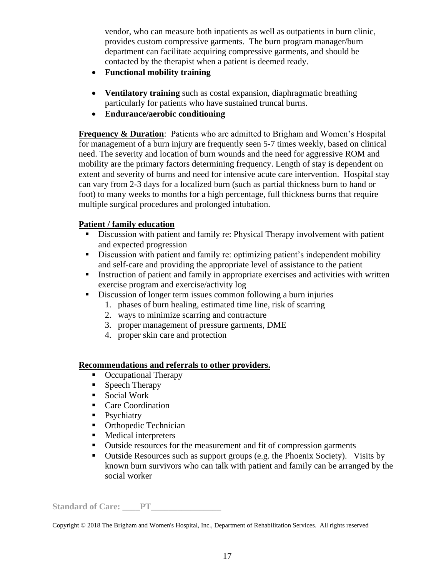vendor, who can measure both inpatients as well as outpatients in burn clinic, provides custom compressive garments. The burn program manager/burn department can facilitate acquiring compressive garments, and should be contacted by the therapist when a patient is deemed ready.

- **Functional mobility training**
- **Ventilatory training** such as costal expansion, diaphragmatic breathing particularly for patients who have sustained truncal burns.
- **Endurance/aerobic conditioning**

**Frequency & Duration:** Patients who are admitted to Brigham and Women's Hospital for management of a burn injury are frequently seen 5-7 times weekly, based on clinical need. The severity and location of burn wounds and the need for aggressive ROM and mobility are the primary factors determining frequency. Length of stay is dependent on extent and severity of burns and need for intensive acute care intervention. Hospital stay can vary from 2-3 days for a localized burn (such as partial thickness burn to hand or foot) to many weeks to months for a high percentage, full thickness burns that require multiple surgical procedures and prolonged intubation.

# **Patient / family education**

- **EXECUTE:** Discussion with patient and family re: Physical Therapy involvement with patient and expected progression
- **EXECUSSION With patient and family re: optimizing patient's independent mobility** and self-care and providing the appropriate level of assistance to the patient
- Instruction of patient and family in appropriate exercises and activities with written exercise program and exercise/activity log
- Discussion of longer term issues common following a burn injuries
	- 1. phases of burn healing, estimated time line, risk of scarring
	- 2. ways to minimize scarring and contracture
	- 3. proper management of pressure garments, DME
	- 4. proper skin care and protection

## **Recommendations and referrals to other providers.**

- Occupational Therapy
- Speech Therapy
- Social Work
- Care Coordination
- Psychiatry
- Orthopedic Technician
- Medical interpreters
- Outside resources for the measurement and fit of compression garments
- Outside Resources such as support groups (e.g. the Phoenix Society). Visits by known burn survivors who can talk with patient and family can be arranged by the social worker

Standard of Care: <u>PT</u>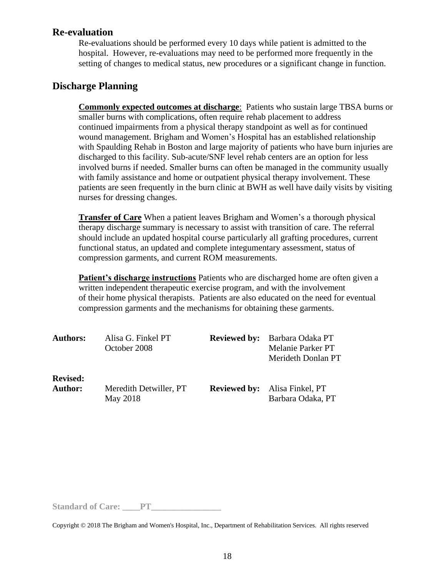# **Re-evaluation**

Re-evaluations should be performed every 10 days while patient is admitted to the hospital. However, re-evaluations may need to be performed more frequently in the setting of changes to medical status, new procedures or a significant change in function.

# **Discharge Planning**

**Commonly expected outcomes at discharge**: Patients who sustain large TBSA burns or smaller burns with complications, often require rehab placement to address continued impairments from a physical therapy standpoint as well as for continued wound management. Brigham and Women's Hospital has an established relationship with Spaulding Rehab in Boston and large majority of patients who have burn injuries are discharged to this facility. Sub-acute/SNF level rehab centers are an option for less involved burns if needed. Smaller burns can often be managed in the community usually with family assistance and home or outpatient physical therapy involvement. These patients are seen frequently in the burn clinic at BWH as well have daily visits by visiting nurses for dressing changes.

**Transfer of Care** When a patient leaves Brigham and Women's a thorough physical therapy discharge summary is necessary to assist with transition of care. The referral should include an updated hospital course particularly all grafting procedures, current functional status, an updated and complete integumentary assessment, status of compression garments, and current ROM measurements.

**Patient's discharge instructions** Patients who are discharged home are often given a written independent therapeutic exercise program, and with the involvement of their home physical therapists. Patients are also educated on the need for eventual compression garments and the mechanisms for obtaining these garments.

| <b>Authors:</b> | Alisa G. Finkel PT<br>October 2008 | <b>Reviewed by:</b> | Barbara Odaka PT<br>Melanie Parker PT<br>Merideth Donlan PT |
|-----------------|------------------------------------|---------------------|-------------------------------------------------------------|
| <b>Revised:</b> | Meredith Detwiller, PT             | <b>Reviewed by:</b> | Alisa Finkel, PT                                            |
| <b>Author:</b>  | May 2018                           |                     | Barbara Odaka, PT                                           |

Standard of Care: PT